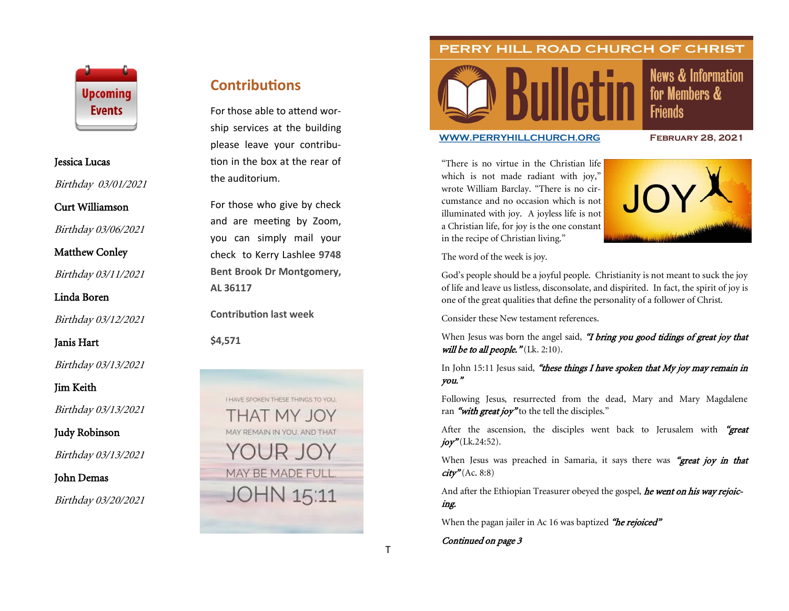

#### Jessica Lucas

Birthday 03/01/2021

Curt Williamson

Birthday 03/06/2021

Matthew Conley

Birthday 03/11/2021

Linda Boren

Birthday 03/12/2021

### Janis Hart

Birthday 03/13/2021

Jim Keith

Birthday 03/13/2021

Judy Robinson

Birthday 03/13/2021

John Demas

Birthday 03/20/2021

# **Contributions**

For those able to attend worship services at the building please leave your contribution in the box at the rear of the auditorium.

For those who give by check and are meeting by Zoom, you can simply mail your check to Kerry Lashlee **9748 Bent Brook Dr Montgomery, AL 36117**

**Contribution last week**

**\$4,571**



### PERRY HILL ROAD CHURCH OF CHRIST



## **News & Information** for Members & **Friends**

#### **[WWW.PERRYHILLCHURCH.ORG](http://www.perryhillchurch.org) February 28, 2021**

"There is no virtue in the Christian life which is not made radiant with joy," wrote William Barclay. "There is no circumstance and no occasion which is not illuminated with joy. A joyless life is not a Christian life, for joy is the one constant in the recipe of Christian living."



The word of the week is joy.

God's people should be a joyful people. Christianity is not meant to suck the joy of life and leave us listless, disconsolate, and dispirited. In fact, the spirit of joy is one of the great qualities that define the personality of a follower of Christ.

Consider these New testament references.

When Jesus was born the angel said, "I bring you good tidings of great joy that will be to all people."  $(Lk. 2:10)$ .

### In John 15:11 Jesus said, "these things I have spoken that My joy may remain in you."

Following Jesus, resurrected from the dead, Mary and Mary Magdalene ran "with great joy" to the tell the disciples."

After the ascension, the disciples went back to Jerusalem with "great  $joy''(Lk.24:52)$ .

When Jesus was preached in Samaria, it says there was "great joy in that  $\textit{city}^{\nu}$ (Ac. 8:8)

And after the Ethiopian Treasurer obeyed the gospel, he went on his way rejoicing.

When the pagan jailer in Ac 16 was baptized "he rejoiced"

Continued on page 3